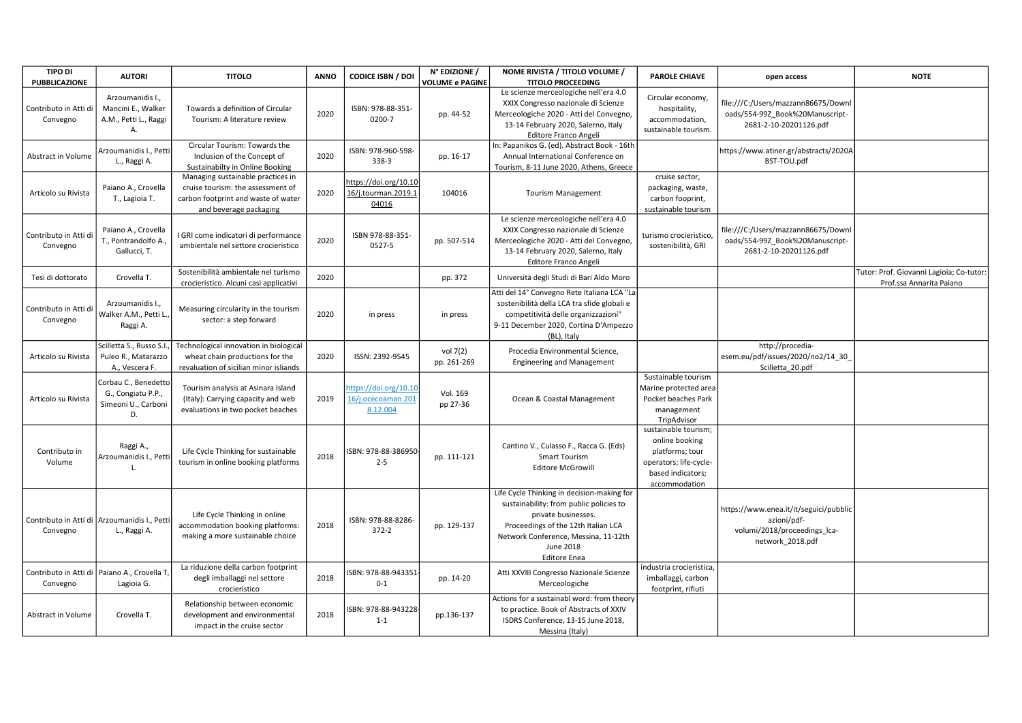| <b>TIPO DI</b><br>PUBBLICAZIONE                           | <b>AUTORI</b>                                                           | <b>TITOLO</b>                                                                                                                           | <b>ANNO</b> | <b>CODICE ISBN / DOI</b>                                | N° EDIZIONE /<br><b>VOLUME e PAGINE</b> | NOME RIVISTA / TITOLO VOLUME /<br><b>TITOLO PROCEEDING</b>                                                                                                                                                                      | <b>PAROLE CHIAVE</b>                                                                                                      | open access                                                                                               | <b>NOTE</b>                                                          |
|-----------------------------------------------------------|-------------------------------------------------------------------------|-----------------------------------------------------------------------------------------------------------------------------------------|-------------|---------------------------------------------------------|-----------------------------------------|---------------------------------------------------------------------------------------------------------------------------------------------------------------------------------------------------------------------------------|---------------------------------------------------------------------------------------------------------------------------|-----------------------------------------------------------------------------------------------------------|----------------------------------------------------------------------|
| Contributo in Atti di<br>Convegno                         | Arzoumanidis I.,<br>Mancini E., Walker<br>A.M., Petti L., Raggi<br>Α.   | Towards a definition of Circular<br>Tourism: A literature review                                                                        | 2020        | ISBN: 978-88-351-<br>0200-7                             | pp. 44-52                               | Le scienze merceologiche nell'era 4.0<br>XXIX Congresso nazionale di Scienze<br>Merceologiche 2020 - Atti del Convegno,<br>13-14 February 2020, Salerno, Italy<br><b>Editore Franco Angeli</b>                                  | Circular economy,<br>hospitality,<br>accommodation,<br>sustainable tourism.                                               | file:///C:/Users/mazzann86675/Downl<br>oads/554-99Z Book%20Manuscript-<br>2681-2-10-20201126.pdf          |                                                                      |
| Abstract in Volume                                        | Arzoumanidis I., Petti<br>L., Raggi A.                                  | Circular Tourism: Towards the<br>Inclusion of the Concept of<br>Sustainabilty in Online Booking                                         | 2020        | ISBN: 978-960-598-<br>338-3                             | pp. 16-17                               | In: Papanikos G. (ed). Abstract Book - 16th<br>Annual International Conference on<br>Tourism, 8-11 June 2020, Athens, Greece                                                                                                    |                                                                                                                           | https://www.atiner.gr/abstracts/2020A<br>BST-TOU.pdf                                                      |                                                                      |
| Articolo su Rivista                                       | Paiano A., Crovella<br>T., Lagioia T.                                   | Managing sustainable practices in<br>cruise tourism: the assessment of<br>carbon footprint and waste of water<br>and beverage packaging | 2020        | https://doi.org/10.10<br>16/j.tourman.2019.1<br>04016   | 104016                                  | <b>Tourism Management</b>                                                                                                                                                                                                       | cruise sector,<br>packaging, waste,<br>carbon fooprint,<br>sustainable tourism                                            |                                                                                                           |                                                                      |
| Contributo in Atti di<br>Convegno                         | Paiano A., Crovella<br>T., Pontrandolfo A.<br>Gallucci, T.              | I GRI come indicatori di performance<br>ambientale nel settore crocieristico                                                            | 2020        | ISBN 978-88-351-<br>0527-5                              | pp. 507-514                             | Le scienze merceologiche nell'era 4.0<br>XXIX Congresso nazionale di Scienze<br>Merceologiche 2020 - Atti del Convegno,<br>13-14 February 2020, Salerno, Italy<br>Editore Franco Angeli                                         | turismo crocieristico<br>sostenibilità, GRI                                                                               | file:///C:/Users/mazzann86675/Downl<br>oads/554-99Z Book%20Manuscript-<br>2681-2-10-20201126.pdf          |                                                                      |
| Tesi di dottorato                                         | Crovella T.                                                             | Sostenibilità ambientale nel turismo<br>crocieristico. Alcuni casi applicativi                                                          | 2020        |                                                         | pp. 372                                 | Università degli Studi di Bari Aldo Moro                                                                                                                                                                                        |                                                                                                                           |                                                                                                           | Tutor: Prof. Giovanni Lagioia; Co-tutor:<br>Prof.ssa Annarita Paiano |
| Contributo in Atti di<br>Convegno                         | Arzoumanidis I.,<br>Walker A.M., Petti L.<br>Raggi A.                   | Measuring circularity in the tourism<br>sector: a step forward                                                                          | 2020        | in press                                                | in press                                | Atti del 14° Convegno Rete Italiana LCA "La<br>sostenibilità della LCA tra sfide globali e<br>competitività delle organizzazioni"<br>9-11 December 2020, Cortina D'Ampezzo<br>(BL), Italy                                       |                                                                                                                           |                                                                                                           |                                                                      |
| Articolo su Rivista                                       | Scilletta S., Russo S.I.<br>Puleo R., Matarazzo<br>A., Vescera F.       | Technological innovation in biological<br>wheat chain productions for the<br>revaluation of sicilian minor isliands                     | 2020        | ISSN: 2392-9545                                         | vol 7(2)<br>pp. 261-269                 | Procedia Environmental Science,<br><b>Engineering and Management</b>                                                                                                                                                            |                                                                                                                           | http://procedia-<br>esem.eu/pdf/issues/2020/no2/14_30<br>Scilletta 20.pdf                                 |                                                                      |
| Articolo su Rivista                                       | Corbau C., Benedetto<br>G., Congiatu P.P.,<br>Simeoni U., Carboni<br>D. | Tourism analysis at Asinara Island<br>(Italy): Carrying capacity and web<br>evaluations in two pocket beaches                           | 2019        | https://doi.org/10.10<br>16/j.ocecoaman.201<br>8.12.004 | Vol. 169<br>pp 27-36                    | Ocean & Coastal Management                                                                                                                                                                                                      | Sustainable tourism<br>Marine protected area<br>Pocket beaches Park<br>management<br>TripAdvisor                          |                                                                                                           |                                                                      |
| Contributo in<br>Volume                                   | Raggi A.,<br>Arzoumanidis I., Pett<br>L.                                | Life Cycle Thinking for sustainable<br>tourism in online booking platforms                                                              | 2018        | ISBN: 978-88-386950<br>$2 - 5$                          | pp. 111-121                             | Cantino V., Culasso F., Racca G. (Eds)<br>Smart Tourism<br><b>Editore McGrowill</b>                                                                                                                                             | sustainable tourism;<br>online booking<br>platforms; tour<br>operators; life-cycle-<br>based indicators;<br>accommodation |                                                                                                           |                                                                      |
| Convegno                                                  | Contributo in Atti di   Arzoumanidis I., Petti<br>L., Raggi A.          | Life Cycle Thinking in online<br>accommodation booking platforms:<br>making a more sustainable choice                                   | 2018        | ISBN: 978-88-8286-<br>$372 - 2$                         | pp. 129-137                             | Life Cycle Thinking in decision-making for<br>sustainability: from public policies to<br>private businesses.<br>Proceedings of the 12th Italian LCA<br>Network Conference, Messina, 11-12th<br>June 2018<br><b>Editore Enea</b> |                                                                                                                           | https://www.enea.it/it/seguici/pubblic<br>azioni/pdf-<br>volumi/2018/proceedings_lca-<br>network 2018.pdf |                                                                      |
| Contributo in Atti di   Paiano A., Crovella T<br>Convegno | Lagioia G.                                                              | La riduzione della carbon footprint<br>degli imballaggi nel settore<br>crocieristico                                                    | 2018        | ISBN: 978-88-943351<br>$0 - 1$                          | pp. 14-20                               | Atti XXVIII Congresso Nazionale Scienze<br>Merceologiche                                                                                                                                                                        | industria crocieristica,<br>imballaggi, carbon<br>footprint, rifiuti                                                      |                                                                                                           |                                                                      |
| Abstract in Volume                                        | Crovella T.                                                             | Relationship between economic<br>development and environmental<br>impact in the cruise sector                                           | 2018        | ISBN: 978-88-943228<br>$1 - 1$                          | pp.136-137                              | Actions for a sustainabl word: from theory<br>to practice. Book of Abstracts of XXIV<br>ISDRS Conference, 13-15 June 2018,<br>Messina (Italy)                                                                                   |                                                                                                                           |                                                                                                           |                                                                      |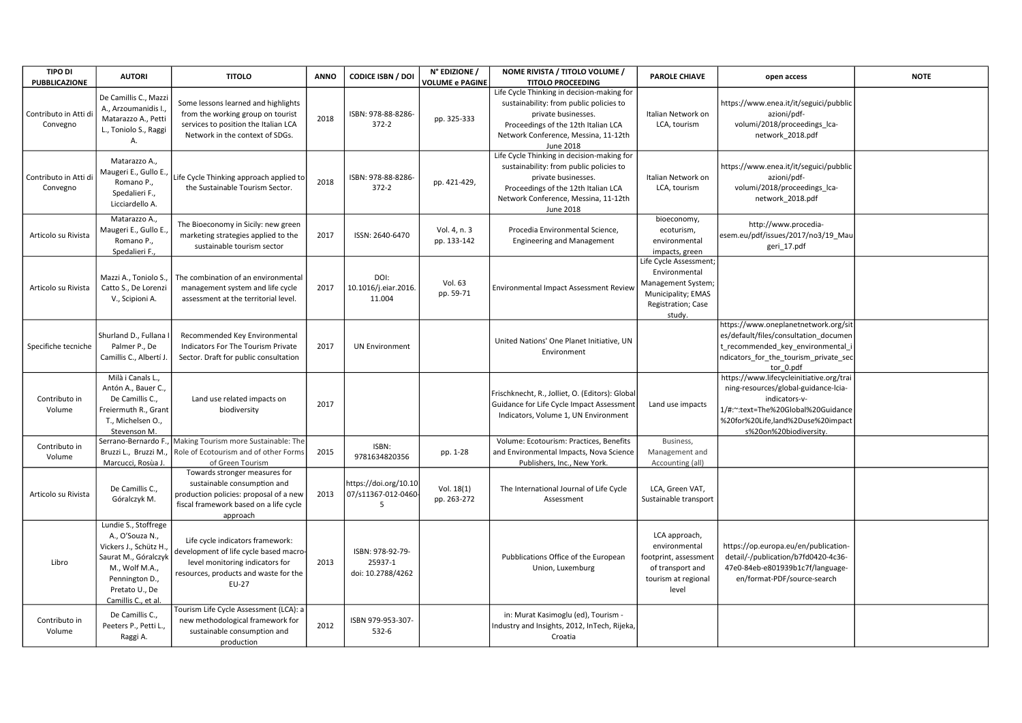| <b>TIPO DI</b><br>PUBBLICAZIONE   | <b>AUTORI</b>                                                                                                                                                          | <b>TITOLO</b>                                                                                                                                                   | <b>ANNO</b> | <b>CODICE ISBN / DOI</b>                         | N° EDIZIONE /<br><b>VOLUME e PAGINE</b> | NOME RIVISTA / TITOLO VOLUME /<br><b>TITOLO PROCEEDING</b>                                                                                                                                                      | <b>PAROLE CHIAVE</b>                                                                                                | open access                                                                                                                                                                                            | <b>NOTE</b> |
|-----------------------------------|------------------------------------------------------------------------------------------------------------------------------------------------------------------------|-----------------------------------------------------------------------------------------------------------------------------------------------------------------|-------------|--------------------------------------------------|-----------------------------------------|-----------------------------------------------------------------------------------------------------------------------------------------------------------------------------------------------------------------|---------------------------------------------------------------------------------------------------------------------|--------------------------------------------------------------------------------------------------------------------------------------------------------------------------------------------------------|-------------|
| Contributo in Atti di<br>Convegno | De Camillis C., Mazz<br>A., Arzoumanidis I.,<br>Matarazzo A., Petti<br>L., Toniolo S., Raggi<br>А.                                                                     | Some lessons learned and highlights<br>from the working group on tourist<br>services to position the Italian LCA<br>Network in the context of SDGs.             | 2018        | ISBN: 978-88-8286-<br>$372 - 2$                  | pp. 325-333                             | Life Cycle Thinking in decision-making for<br>sustainability: from public policies to<br>private businesses.<br>Proceedings of the 12th Italian LCA<br>Network Conference, Messina, 11-12th<br><b>June 2018</b> | Italian Network on<br>LCA, tourism                                                                                  | https://www.enea.it/it/seguici/pubblic<br>azioni/pdf-<br>volumi/2018/proceedings lca-<br>network_2018.pdf                                                                                              |             |
| Contributo in Atti di<br>Convegno | Matarazzo A.,<br>Maugeri E., Gullo E.,<br>Romano P.,<br>Spedalieri F.,<br>Licciardello A.                                                                              | Life Cycle Thinking approach applied to<br>the Sustainable Tourism Sector.                                                                                      | 2018        | ISBN: 978-88-8286-<br>$372 - 2$                  | pp. 421-429,                            | Life Cycle Thinking in decision-making for<br>sustainability: from public policies to<br>private businesses.<br>Proceedings of the 12th Italian LCA<br>Network Conference, Messina, 11-12th<br><b>June 2018</b> | Italian Network on<br>LCA, tourism                                                                                  | https://www.enea.it/it/seguici/pubblic<br>azioni/pdf-<br>volumi/2018/proceedings_lca-<br>network 2018.pdf                                                                                              |             |
| Articolo su Rivista               | Matarazzo A.,<br>Maugeri E., Gullo E.,<br>Romano P.,<br>Spedalieri F.,                                                                                                 | The Bioeconomy in Sicily: new green<br>marketing strategies applied to the<br>sustainable tourism sector                                                        | 2017        | ISSN: 2640-6470                                  | Vol. 4, n. 3<br>pp. 133-142             | Procedia Environmental Science,<br><b>Engineering and Management</b>                                                                                                                                            | bioeconomy,<br>ecoturism,<br>environmental<br>impacts, green                                                        | http://www.procedia-<br>esem.eu/pdf/issues/2017/no3/19 Mau<br>geri_17.pdf                                                                                                                              |             |
| Articolo su Rivista               | Mazzi A., Toniolo S.,<br>Catto S., De Lorenzi<br>V., Scipioni A.                                                                                                       | The combination of an environmental<br>management system and life cycle<br>assessment at the territorial level.                                                 | 2017        | DOI:<br>10.1016/j.eiar.2016.<br>11.004           | Vol. 63<br>pp. 59-71                    | Environmental Impact Assessment Review                                                                                                                                                                          | Life Cycle Assessment;<br>Environmental<br>Management System;<br>Municipality; EMAS<br>Registration; Case<br>study. |                                                                                                                                                                                                        |             |
| Specifiche tecniche               | Shurland D., Fullana<br>Palmer P., De<br>Camillis C., Albertí J.                                                                                                       | Recommended Key Environmental<br>Indicators For The Tourism Private<br>Sector. Draft for public consultation                                                    | 2017        | <b>UN Environment</b>                            |                                         | United Nations' One Planet Initiative, UN<br>Environment                                                                                                                                                        |                                                                                                                     | https://www.oneplanetnetwork.org/sit<br>es/default/files/consultation documen<br>t_recommended_key_environmental_<br>ndicators_for_the_tourism_private_sec<br>tor 0.pdf                                |             |
| Contributo in<br>Volume           | Milà i Canals L.,<br>Antón A., Bauer C.,<br>De Camillis C.,<br>Freiermuth R., Grant<br>T., Michelsen O.,<br>Stevenson M.                                               | Land use related impacts on<br>biodiversity                                                                                                                     | 2017        |                                                  |                                         | Frischknecht, R., Jolliet, O. (Editors): Global<br>Guidance for Life Cycle Impact Assessment<br>Indicators, Volume 1, UN Environment                                                                            | Land use impacts                                                                                                    | https://www.lifecycleinitiative.org/trai<br>ning-resources/global-guidance-Icia-<br>indicators-v-<br>1/#:~:text=The%20Global%20Guidance<br>%20for%20Life,land%2Duse%20impact<br>s%20on%20biodiversity. |             |
| Contributo in<br>Volume           | Serrano-Bernardo F.,<br>Bruzzi L., Bruzzi M.<br>Marcucci, Rosùa J.                                                                                                     | Making Tourism more Sustainable: The<br>Role of Ecotourism and of other Forms<br>of Green Tourism                                                               | 2015        | ISBN:<br>9781634820356                           | pp. 1-28                                | Volume: Ecotourism: Practices, Benefits<br>and Environmental Impacts, Nova Science<br>Publishers, Inc., New York.                                                                                               | Business,<br>Management and<br>Accounting (all)                                                                     |                                                                                                                                                                                                        |             |
| Articolo su Rivista               | De Camillis C.,<br>Góralczyk M.                                                                                                                                        | Towards stronger measures for<br>sustainable consumption and<br>production policies: proposal of a new<br>fiscal framework based on a life cycle<br>approach    | 2013        | https://doi.org/10.10<br>07/s11367-012-0460<br>5 | Vol. 18(1)<br>pp. 263-272               | The International Journal of Life Cycle<br>Assessment                                                                                                                                                           | LCA, Green VAT,<br>Sustainable transport                                                                            |                                                                                                                                                                                                        |             |
| Libro                             | Lundie S., Stoffrege<br>A., O'Souza N.,<br>Vickers J., Schütz H.,<br>Saurat M., Góralczyk<br>M., Wolf M.A.,<br>Pennington D.,<br>Pretato U., De<br>Camillis C., et al. | Life cycle indicators framework:<br>development of life cycle based macro-<br>level monitoring indicators for<br>resources, products and waste for the<br>EU-27 | 2013        | ISBN: 978-92-79-<br>25937-1<br>doi: 10.2788/4262 |                                         | Pubblications Office of the European<br>Union, Luxemburg                                                                                                                                                        | LCA approach,<br>environmental<br>footprint, assessment<br>of transport and<br>tourism at regional<br>level         | https://op.europa.eu/en/publication-<br>detail/-/publication/b7fd0420-4c36-<br>47e0-84eb-e801939b1c7f/language-<br>en/format-PDF/source-search                                                         |             |
| Contributo in<br>Volume           | De Camillis C.,<br>Peeters P., Petti L.,<br>Raggi A.                                                                                                                   | Tourism Life Cycle Assessment (LCA): a<br>new methodological framework for<br>sustainable consumption and<br>production                                         | 2012        | ISBN 979-953-307-<br>532-6                       |                                         | in: Murat Kasimoglu (ed), Tourism -<br>Industry and Insights, 2012, InTech, Rijeka,<br>Croatia                                                                                                                  |                                                                                                                     |                                                                                                                                                                                                        |             |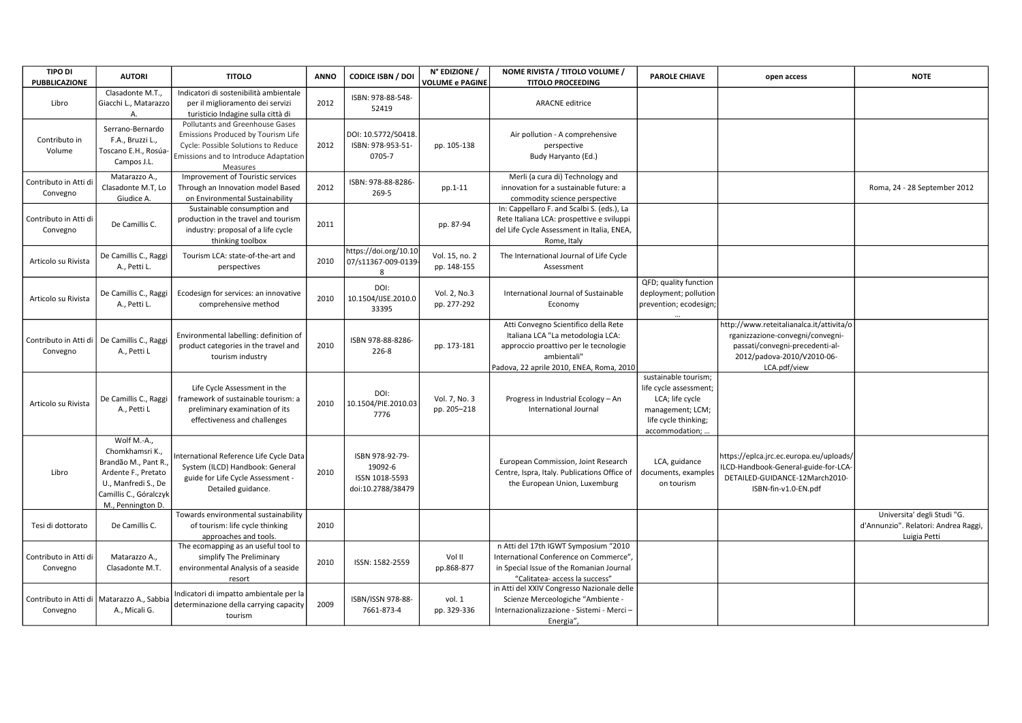| <b>TIPO DI</b><br><b>PUBBLICAZIONE</b> | <b>AUTORI</b>                                                                                                                                       | <b>TITOLO</b>                                                                                                                                                     | <b>ANNO</b> | <b>CODICE ISBN / DOI</b>                                          | N° EDIZIONE /<br><b>VOLUME e PAGINE</b> | NOME RIVISTA / TITOLO VOLUME /<br><b>TITOLO PROCEEDING</b>                                                                                                                    | <b>PAROLE CHIAVE</b>                                                                                                              | open access                                                                                                                                                   | <b>NOTE</b>                                                                         |
|----------------------------------------|-----------------------------------------------------------------------------------------------------------------------------------------------------|-------------------------------------------------------------------------------------------------------------------------------------------------------------------|-------------|-------------------------------------------------------------------|-----------------------------------------|-------------------------------------------------------------------------------------------------------------------------------------------------------------------------------|-----------------------------------------------------------------------------------------------------------------------------------|---------------------------------------------------------------------------------------------------------------------------------------------------------------|-------------------------------------------------------------------------------------|
| Libro                                  | Clasadonte M.T.,<br>Giacchi L., Matarazzo<br>A                                                                                                      | Indicatori di sostenibilità ambientale<br>per il miglioramento dei servizi<br>turisticio Indagine sulla città di                                                  | 2012        | ISBN: 978-88-548-<br>52419                                        |                                         | <b>ARACNE</b> editrice                                                                                                                                                        |                                                                                                                                   |                                                                                                                                                               |                                                                                     |
| Contributo in<br>Volume                | Serrano-Bernardo<br>F.A., Bruzzi L.,<br>Toscano E.H., Rosúa-<br>Campos J.L.                                                                         | Pollutants and Greenhouse Gases<br>Emissions Produced by Tourism Life<br>Cycle: Possible Solutions to Reduce<br>Emissions and to Introduce Adaptation<br>Measures | 2012        | DOI: 10.5772/50418<br>ISBN: 978-953-51-<br>0705-7                 | pp. 105-138                             | Air pollution - A comprehensive<br>perspective<br>Budy Haryanto (Ed.)                                                                                                         |                                                                                                                                   |                                                                                                                                                               |                                                                                     |
| Contributo in Atti di<br>Convegno      | Matarazzo A.,<br>Clasadonte M.T, Lo<br>Giudice A.                                                                                                   | Improvement of Touristic services<br>Through an Innovation model Based<br>on Environmental Sustainability                                                         | 2012        | ISBN: 978-88-8286-<br>269-5                                       | pp.1-11                                 | Merli (a cura di) Technology and<br>innovation for a sustainable future: a<br>commodity science perspective                                                                   |                                                                                                                                   |                                                                                                                                                               | Roma, 24 - 28 September 2012                                                        |
| Contributo in Atti di<br>Convegno      | De Camillis C.                                                                                                                                      | Sustainable consumption and<br>production in the travel and tourism<br>industry: proposal of a life cycle<br>thinking toolbox                                     | 2011        |                                                                   | pp. 87-94                               | In: Cappellaro F. and Scalbi S. (eds.), La<br>Rete Italiana LCA: prospettive e sviluppi<br>del Life Cycle Assessment in Italia, ENEA,<br>Rome, Italy                          |                                                                                                                                   |                                                                                                                                                               |                                                                                     |
| Articolo su Rivista                    | De Camillis C., Raggi<br>A., Petti L.                                                                                                               | Tourism LCA: state-of-the-art and<br>perspectives                                                                                                                 | 2010        | https://doi.org/10.10<br>07/s11367-009-0139-<br>8                 | Vol. 15, no. 2<br>pp. 148-155           | The International Journal of Life Cycle<br>Assessment                                                                                                                         |                                                                                                                                   |                                                                                                                                                               |                                                                                     |
| Articolo su Rivista                    | De Camillis C., Raggi<br>A., Petti L.                                                                                                               | Ecodesign for services: an innovative<br>comprehensive method                                                                                                     | 2010        | DOI:<br>10.1504/IJSE.2010.0<br>33395                              | Vol. 2, No.3<br>pp. 277-292             | International Journal of Sustainable<br>Economy                                                                                                                               | QFD; quality function<br>deployment; pollution<br>prevention; ecodesign;                                                          |                                                                                                                                                               |                                                                                     |
| Contributo in Atti di<br>Convegno      | De Camillis C., Raggi<br>A., Petti L                                                                                                                | Environmental labelling: definition of<br>product categories in the travel and<br>tourism industry                                                                | 2010        | ISBN 978-88-8286-<br>226-8                                        | pp. 173-181                             | Atti Convegno Scientifico della Rete<br>Italiana LCA "La metodologia LCA:<br>approccio proattivo per le tecnologie<br>ambientali"<br>Padova, 22 aprile 2010, ENEA, Roma, 2010 |                                                                                                                                   | http://www.reteitalianalca.it/attivita/o<br>rganizzazione-convegni/convegni-<br>passati/convegni-precedenti-al-<br>2012/padova-2010/V2010-06-<br>LCA.pdf/view |                                                                                     |
| Articolo su Rivista                    | De Camillis C., Raggi<br>A., Petti L                                                                                                                | Life Cycle Assessment in the<br>framework of sustainable tourism: a<br>preliminary examination of its<br>effectiveness and challenges                             | 2010        | DOI:<br>10.1504/PIE.2010.03<br>7776                               | Vol. 7, No. 3<br>pp. 205-218            | Progress in Industrial Ecology - An<br>International Journal                                                                                                                  | sustainable tourism;<br>life cycle assessment;<br>LCA; life cycle<br>management; LCM;<br>life cycle thinking;<br>accommodation; . |                                                                                                                                                               |                                                                                     |
| Libro                                  | Wolf M.-A.,<br>Chomkhamsri K.,<br>Brandão M., Pant R.,<br>Ardente F., Pretato<br>U., Manfredi S., De<br>Camillis C., Góralczyk<br>M., Pennington D. | nternational Reference Life Cycle Data<br>System (ILCD) Handbook: General<br>guide for Life Cycle Assessment -<br>Detailed guidance.                              | 2010        | ISBN 978-92-79-<br>19092-6<br>ISSN 1018-5593<br>doi:10.2788/38479 |                                         | European Commission, Joint Research<br>Centre, Ispra, Italy. Publications Office of<br>the European Union, Luxemburg                                                          | LCA, guidance<br>documents, examples<br>on tourism                                                                                | https://eplca.jrc.ec.europa.eu/uploads/<br>ILCD-Handbook-General-guide-for-LCA-<br>DETAILED-GUIDANCE-12March2010-<br>ISBN-fin-v1.0-EN.pdf                     |                                                                                     |
| Tesi di dottorato                      | De Camillis C.                                                                                                                                      | Towards environmental sustainability<br>of tourism: life cycle thinking<br>approaches and tools.                                                                  | 2010        |                                                                   |                                         |                                                                                                                                                                               |                                                                                                                                   |                                                                                                                                                               | Universita' degli Studi "G.<br>d'Annunzio". Relatori: Andrea Raggi,<br>Luigia Petti |
| Contributo in Atti di<br>Convegno      | Matarazzo A.,<br>Clasadonte M.T.                                                                                                                    | The ecomapping as an useful tool to<br>simplify The Preliminary<br>environmental Analysis of a seaside<br>resort                                                  | 2010        | ISSN: 1582-2559                                                   | Vol II<br>pp.868-877                    | n Atti del 17th IGWT Symposium "2010<br>International Conference on Commerce",<br>in Special Issue of the Romanian Journal<br>"Calitatea- access la success"                  |                                                                                                                                   |                                                                                                                                                               |                                                                                     |
| Contributo in Atti di<br>Convegno      | Matarazzo A., Sabbia<br>A., Micali G.                                                                                                               | Indicatori di impatto ambientale per la<br>determinazione della carrying capacity<br>tourism                                                                      | 2009        | ISBN/ISSN 978-88-<br>7661-873-4                                   | vol. 1<br>pp. 329-336                   | in Atti del XXIV Congresso Nazionale delle<br>Scienze Merceologiche "Ambiente -<br>Internazionalizzazione - Sistemi - Merci -<br>Energia",                                    |                                                                                                                                   |                                                                                                                                                               |                                                                                     |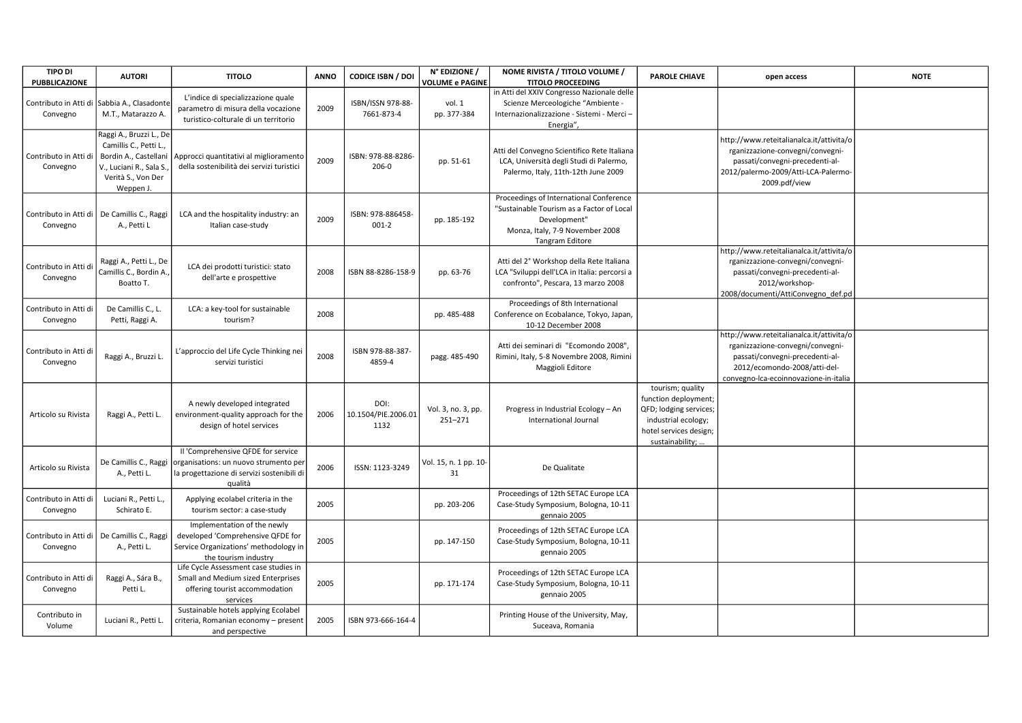| <b>TIPO DI</b><br><b>PUBBLICAZIONE</b>                    | <b>AUTORI</b>                                                                                                                            | <b>TITOLO</b>                                                                                                                        | <b>ANNO</b> | CODICE ISBN / DOI                   | N° EDIZIONE /<br><b>VOLUME e PAGINE</b> | NOME RIVISTA / TITOLO VOLUME /<br><b>TITOLO PROCEEDING</b>                                                                                                 | <b>PAROLE CHIAVE</b>                                                                                                                   | open access                                                                                                                                                                              | <b>NOTE</b> |
|-----------------------------------------------------------|------------------------------------------------------------------------------------------------------------------------------------------|--------------------------------------------------------------------------------------------------------------------------------------|-------------|-------------------------------------|-----------------------------------------|------------------------------------------------------------------------------------------------------------------------------------------------------------|----------------------------------------------------------------------------------------------------------------------------------------|------------------------------------------------------------------------------------------------------------------------------------------------------------------------------------------|-------------|
| Convegno                                                  | Contributo in Atti di Sabbia A., Clasadonte<br>M.T., Matarazzo A.                                                                        | L'indice di specializzazione quale<br>parametro di misura della vocazione<br>turistico-colturale di un territorio                    | 2009        | ISBN/ISSN 978-88-<br>7661-873-4     | vol. 1<br>pp. 377-384                   | in Atti del XXIV Congresso Nazionale delle<br>Scienze Merceologiche "Ambiente -<br>Internazionalizzazione - Sistemi - Merci -<br>Energia",                 |                                                                                                                                        |                                                                                                                                                                                          |             |
| Contributo in Atti d<br>Convegno                          | Raggi A., Bruzzi L., De<br>Camillis C., Petti L.,<br>Bordin A., Castellani<br>V., Luciani R., Sala S.<br>Verità S., Von Der<br>Weppen J. | Approcci quantitativi al miglioramento<br>della sostenibilità dei servizi turistici                                                  | 2009        | ISBN: 978-88-8286-<br>$206-0$       | pp. 51-61                               | Atti del Convegno Scientifico Rete Italiana<br>LCA, Università degli Studi di Palermo,<br>Palermo, Italy, 11th-12th June 2009                              |                                                                                                                                        | http://www.reteitalianalca.it/attivita/o<br>rganizzazione-convegni/convegni-<br>passati/convegni-precedenti-al-<br>2012/palermo-2009/Atti-LCA-Palermo-<br>2009.pdf/view                  |             |
| Contributo in Atti di   De Camillis C., Raggi<br>Convegno | A., Petti L                                                                                                                              | LCA and the hospitality industry: an<br>Italian case-study                                                                           | 2009        | ISBN: 978-886458<br>$001-2$         | pp. 185-192                             | Proceedings of International Conference<br>"Sustainable Tourism as a Factor of Local<br>Development"<br>Monza, Italy, 7-9 November 2008<br>Tangram Editore |                                                                                                                                        |                                                                                                                                                                                          |             |
| Contributo in Atti d<br>Convegno                          | Raggi A., Petti L., De<br>Camillis C., Bordin A.,<br>Boatto T.                                                                           | LCA dei prodotti turistici: stato<br>dell'arte e prospettive                                                                         | 2008        | ISBN 88-8286-158-9                  | pp. 63-76                               | Atti del 2° Workshop della Rete Italiana<br>LCA "Sviluppi dell'LCA in Italia: percorsi a<br>confronto", Pescara, 13 marzo 2008                             |                                                                                                                                        | http://www.reteitalianalca.it/attivita/o<br>rganizzazione-convegni/convegni-<br>passati/convegni-precedenti-al-<br>2012/workshop-<br>2008/documenti/AttiConvegno_def.pd                  |             |
| Contributo in Atti di<br>Convegno                         | De Camillis C., L.<br>Petti, Raggi A.                                                                                                    | LCA: a key-tool for sustainable<br>tourism?                                                                                          | 2008        |                                     | pp. 485-488                             | Proceedings of 8th International<br>Conference on Ecobalance, Tokyo, Japan,<br>10-12 December 2008                                                         |                                                                                                                                        |                                                                                                                                                                                          |             |
| Contributo in Atti di<br>Convegno                         | Raggi A., Bruzzi L.                                                                                                                      | L'approccio del Life Cycle Thinking nei<br>servizi turistici                                                                         | 2008        | ISBN 978-88-387-<br>4859-4          | pagg. 485-490                           | Atti dei seminari di "Ecomondo 2008",<br>Rimini, Italy, 5-8 Novembre 2008, Rimini<br>Maggioli Editore                                                      |                                                                                                                                        | http://www.reteitalianalca.it/attivita/o<br>rganizzazione-convegni/convegni-<br>passati/convegni-precedenti-al-<br>2012/ecomondo-2008/atti-del-<br>convegno-lca-ecoinnovazione-in-italia |             |
| Articolo su Rivista                                       | Raggi A., Petti L.                                                                                                                       | A newly developed integrated<br>environment-quality approach for the<br>design of hotel services                                     | 2006        | DOI:<br>10.1504/PIE.2006.01<br>1132 | Vol. 3, no. 3, pp.<br>$251 - 271$       | Progress in Industrial Ecology - An<br><b>International Journal</b>                                                                                        | tourism; quality<br>function deployment;<br>QFD; lodging services;<br>industrial ecology;<br>hotel services design;<br>sustainability; |                                                                                                                                                                                          |             |
| Articolo su Rivista                                       | De Camillis C., Raggi<br>A., Petti L.                                                                                                    | Il 'Comprehensive QFDE for service<br>organisations: un nuovo strumento per<br>la progettazione di servizi sostenibili di<br>qualità | 2006        | ISSN: 1123-3249                     | Vol. 15, n. 1 pp. 10-<br>31             | De Qualitate                                                                                                                                               |                                                                                                                                        |                                                                                                                                                                                          |             |
| Contributo in Atti di<br>Convegno                         | Luciani R., Petti L.<br>Schirato E.                                                                                                      | Applying ecolabel criteria in the<br>tourism sector: a case-study                                                                    | 2005        |                                     | pp. 203-206                             | Proceedings of 12th SETAC Europe LCA<br>Case-Study Symposium, Bologna, 10-11<br>gennaio 2005                                                               |                                                                                                                                        |                                                                                                                                                                                          |             |
| Contributo in Atti di<br>Convegno                         | De Camillis C., Raggi<br>A., Petti L.                                                                                                    | Implementation of the newly<br>developed 'Comprehensive QFDE for<br>Service Organizations' methodology in<br>the tourism industry    | 2005        |                                     | pp. 147-150                             | Proceedings of 12th SETAC Europe LCA<br>Case-Study Symposium, Bologna, 10-11<br>gennaio 2005                                                               |                                                                                                                                        |                                                                                                                                                                                          |             |
| Contributo in Atti di<br>Convegno                         | Raggi A., Sára B.,<br>Petti L.                                                                                                           | Life Cycle Assessment case studies in<br>Small and Medium sized Enterprises<br>offering tourist accommodation<br>services            | 2005        |                                     | pp. 171-174                             | Proceedings of 12th SETAC Europe LCA<br>Case-Study Symposium, Bologna, 10-11<br>gennaio 2005                                                               |                                                                                                                                        |                                                                                                                                                                                          |             |
| Contributo in<br>Volume                                   | Luciani R., Petti L.                                                                                                                     | Sustainable hotels applying Ecolabel<br>criteria, Romanian economy - present<br>and perspective                                      | 2005        | ISBN 973-666-164-4                  |                                         | Printing House of the University, May,<br>Suceava, Romania                                                                                                 |                                                                                                                                        |                                                                                                                                                                                          |             |